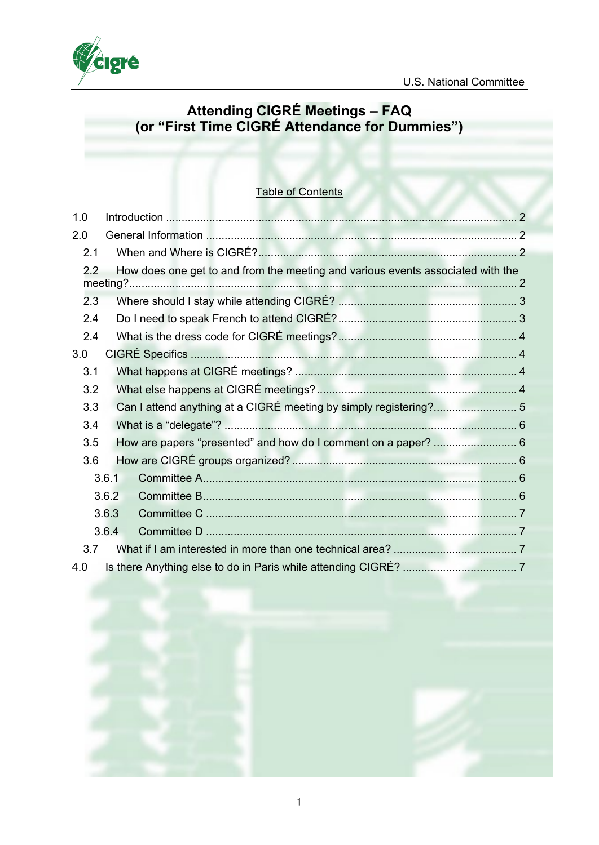

# **Attending CIGRÉ Meetings – FAQ (or "First Time CIGRÉ Attendance for Dummies")**

# Table of Contents

| 1.0 |       |                                                                                 |  |
|-----|-------|---------------------------------------------------------------------------------|--|
| 2.0 |       |                                                                                 |  |
| 2.1 |       |                                                                                 |  |
| 2.2 |       | How does one get to and from the meeting and various events associated with the |  |
| 2.3 |       |                                                                                 |  |
| 2.4 |       |                                                                                 |  |
| 2.4 |       |                                                                                 |  |
| 3.0 |       |                                                                                 |  |
| 3.1 |       |                                                                                 |  |
| 3.2 |       |                                                                                 |  |
| 3.3 |       | Can I attend anything at a CIGRÉ meeting by simply registering? 5               |  |
| 3.4 |       |                                                                                 |  |
| 3.5 |       | How are papers "presented" and how do I comment on a paper?  6                  |  |
| 3.6 |       |                                                                                 |  |
|     | 3.6.1 |                                                                                 |  |
|     | 3.6.2 |                                                                                 |  |
|     | 3.6.3 |                                                                                 |  |
|     | 3.6.4 |                                                                                 |  |
| 3.7 |       |                                                                                 |  |
| 4.0 |       |                                                                                 |  |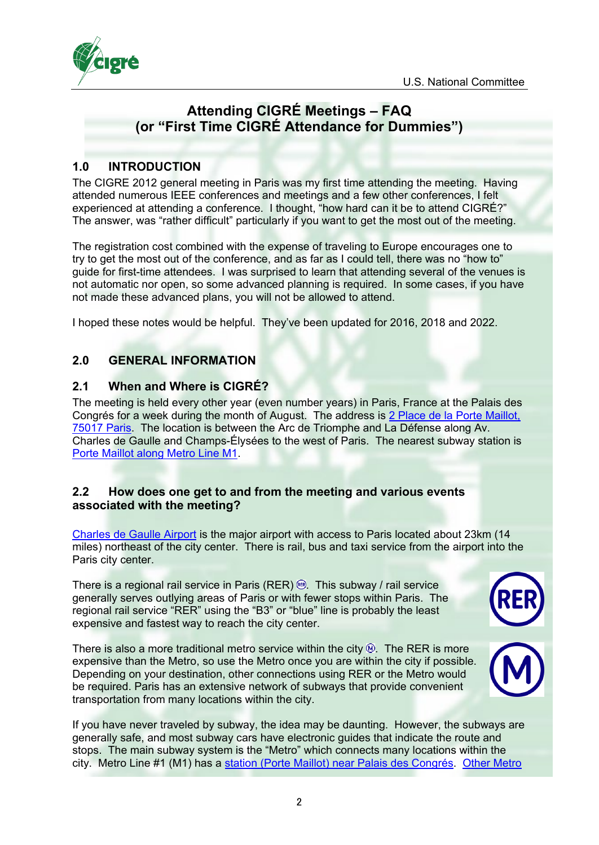

# **Attending CIGRÉ Meetings – FAQ (or "First Time CIGRÉ Attendance for Dummies")**

## <span id="page-1-0"></span>**1.0 INTRODUCTION**

The CIGRE 2012 general meeting in Paris was my first time attending the meeting. Having attended numerous IEEE conferences and meetings and a few other conferences, I felt experienced at attending a conference. I thought, "how hard can it be to attend CIGRÉ?" The answer, was "rather difficult" particularly if you want to get the most out of the meeting.

The registration cost combined with the expense of traveling to Europe encourages one to try to get the most out of the conference, and as far as I could tell, there was no "how to" guide for first-time attendees. I was surprised to learn that attending several of the venues is not automatic nor open, so some advanced planning is required. In some cases, if you have not made these advanced plans, you will not be allowed to attend.

I hoped these notes would be helpful. They've been updated for 2016, 2018 and 2022.

## <span id="page-1-1"></span>**2.0 GENERAL INFORMATION**

### <span id="page-1-2"></span>**2.1 When and Where is CIGRÉ?**

The meeting is held every other year (even number years) in Paris, France at the Palais des Congrés for a week during the month of August. The address is [2 Place de la Porte Maillot,](https://goo.gl/maps/s8zzNwZut2x)  [75017 Paris.](https://goo.gl/maps/s8zzNwZut2x) The location is between the Arc de Triomphe and La Défense along Av. Charles de Gaulle and Champs-Élysées to the west of Paris. The nearest subway station is [Porte Maillot along Metro Line M1.](https://goo.gl/maps/7QTJQtiVbuo)

### <span id="page-1-3"></span>**2.2 How does one get to and from the meeting and various events associated with the meeting?**

[Charles de Gaulle Airport](https://goo.gl/maps/B1jGsSf6Hn72) is the major airport with access to Paris located about 23km (14 miles) northeast of the city center. There is rail, bus and taxi service from the airport into the Paris city center.

There is a regional rail service in Paris (RER)  $\circledast$ . This subway / rail service generally serves outlying areas of Paris or with fewer stops within Paris. The regional rail service "RER" using the "B3" or "blue" line is probably the least expensive and fastest way to reach the city center.

There is also a more traditional metro service within the city  $\mathfrak{D}$ . The RER is more expensive than the Metro, so use the Metro once you are within the city if possible. Depending on your destination, other connections using RER or the Metro would be required. Paris has an extensive network of subways that provide convenient transportation from many locations within the city.





If you have never traveled by subway, the idea may be daunting. However, the subways are generally safe, and most subway cars have electronic guides that indicate the route and stops. The main subway system is the "Metro" which connects many locations within the city. Metro Line #1 (M1) has a [station \(Porte Maillot\) near Palais des Congrés.](https://goo.gl/maps/7QTJQtiVbuo) [Other Metro](https://parisbytrain.com/paris-metro/)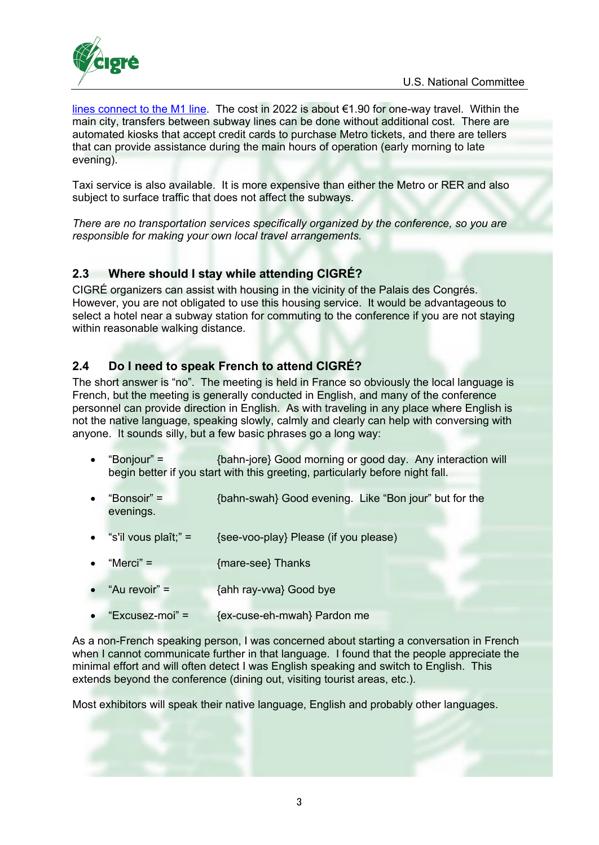

[lines connect to the M1 line.](https://parisbytrain.com/paris-metro/) The cost in 2022 is about €1.90 for one-way travel. Within the main city, transfers between subway lines can be done without additional cost. There are automated kiosks that accept credit cards to purchase Metro tickets, and there are tellers that can provide assistance during the main hours of operation (early morning to late evening).

Taxi service is also available. It is more expensive than either the Metro or RER and also subject to surface traffic that does not affect the subways.

*There are no transportation services specifically organized by the conference, so you are responsible for making your own local travel arrangements.* 

## <span id="page-2-0"></span>**2.3 Where should I stay while attending CIGRÉ?**

CIGRÉ organizers can assist with housing in the vicinity of the Palais des Congrés. However, you are not obligated to use this housing service. It would be advantageous to select a hotel near a subway station for commuting to the conference if you are not staying within reasonable walking distance.

# <span id="page-2-1"></span>**2.4 Do I need to speak French to attend CIGRÉ?**

The short answer is "no". The meeting is held in France so obviously the local language is French, but the meeting is generally conducted in English, and many of the conference personnel can provide direction in English. As with traveling in any place where English is not the native language, speaking slowly, calmly and clearly can help with conversing with anyone. It sounds silly, but a few basic phrases go a long way:

- "Bonjour" = {bahn-jore} Good morning or good day. Any interaction will begin better if you start with this greeting, particularly before night fall.
- "Bonsoir" = {bahn-swah} Good evening. Like "Bon jour" but for the evenings.
- "s'il vous plaît;" =  $\{$ see-voo-play} Please (if you please)
- "Merci" = {mare-see} Thanks
- "Au revoir" =  ${abh}$   ${ay-vwa}$  Good bye
- $"Excusez-moi" = \{ex-cuse-eh-mwah\}$  Pardon me

As a non-French speaking person, I was concerned about starting a conversation in French when I cannot communicate further in that language. I found that the people appreciate the minimal effort and will often detect I was English speaking and switch to English. This extends beyond the conference (dining out, visiting tourist areas, etc.).

Most exhibitors will speak their native language, English and probably other languages.

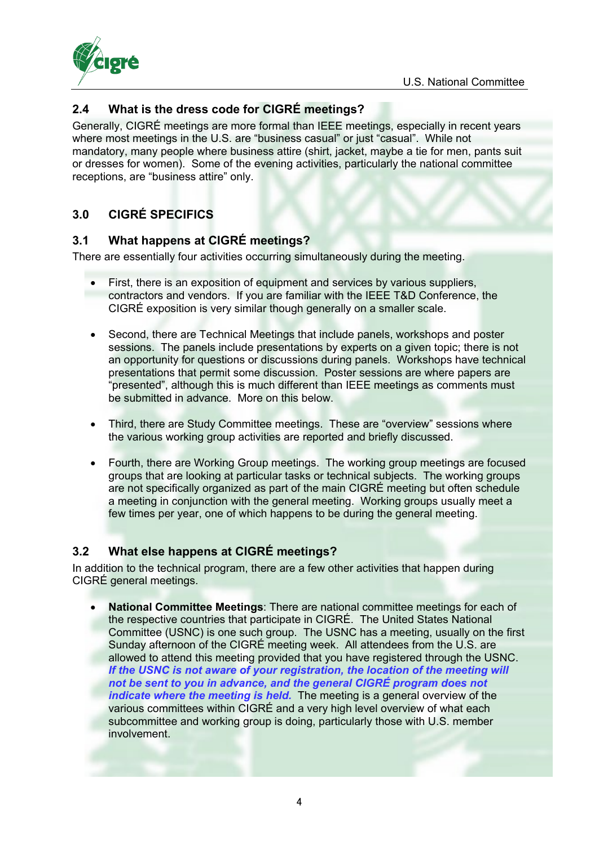

# <span id="page-3-0"></span>**2.4 What is the dress code for CIGRÉ meetings?**

Generally, CIGRÉ meetings are more formal than IEEE meetings, especially in recent years where most meetings in the U.S. are "business casual" or just "casual". While not mandatory, many people where business attire (shirt, jacket, maybe a tie for men, pants suit or dresses for women). Some of the evening activities, particularly the national committee receptions, are "business attire" only.

# <span id="page-3-1"></span>**3.0 CIGRÉ SPECIFICS**

### <span id="page-3-2"></span>**3.1 What happens at CIGRÉ meetings?**

There are essentially four activities occurring simultaneously during the meeting.

- First, there is an exposition of equipment and services by various suppliers, contractors and vendors. If you are familiar with the IEEE T&D Conference, the CIGRÉ exposition is very similar though generally on a smaller scale.
- Second, there are Technical Meetings that include panels, workshops and poster sessions. The panels include presentations by experts on a given topic; there is not an opportunity for questions or discussions during panels. Workshops have technical presentations that permit some discussion. Poster sessions are where papers are "presented", although this is much different than IEEE meetings as comments must be submitted in advance. More on this below.
- Third, there are Study Committee meetings. These are "overview" sessions where the various working group activities are reported and briefly discussed.
- Fourth, there are Working Group meetings. The working group meetings are focused groups that are looking at particular tasks or technical subjects. The working groups are not specifically organized as part of the main CIGRÉ meeting but often schedule a meeting in conjunction with the general meeting. Working groups usually meet a few times per year, one of which happens to be during the general meeting.

# <span id="page-3-3"></span>**3.2 What else happens at CIGRÉ meetings?**

In addition to the technical program, there are a few other activities that happen during CIGRÉ general meetings.

• **National Committee Meetings**: There are national committee meetings for each of the respective countries that participate in CIGRÉ. The United States National Committee (USNC) is one such group. The USNC has a meeting, usually on the first Sunday afternoon of the CIGRÉ meeting week. All attendees from the U.S. are allowed to attend this meeting provided that you have registered through the USNC. *If the USNC is not aware of your registration, the location of the meeting will not be sent to you in advance, and the general CIGRÉ program does not indicate where the meeting is held.* The meeting is a general overview of the various committees within CIGRÉ and a very high level overview of what each subcommittee and working group is doing, particularly those with U.S. member involvement.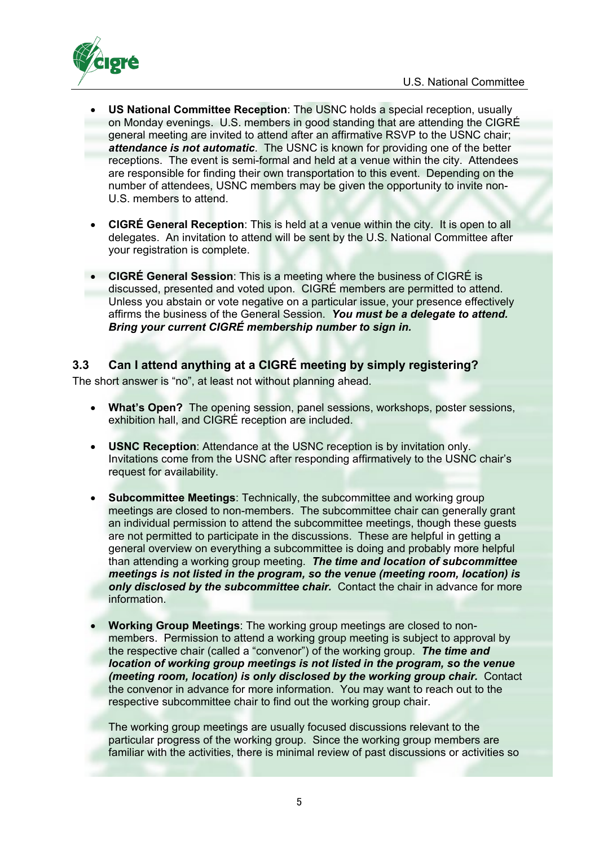

- **US National Committee Reception**: The USNC holds a special reception, usually on Monday evenings. U.S. members in good standing that are attending the CIGRÉ general meeting are invited to attend after an affirmative RSVP to the USNC chair; *attendance is not automatic*. The USNC is known for providing one of the better receptions. The event is semi-formal and held at a venue within the city. Attendees are responsible for finding their own transportation to this event. Depending on the number of attendees, USNC members may be given the opportunity to invite non-U.S. members to attend.
- **CIGRÉ General Reception**: This is held at a venue within the city. It is open to all delegates. An invitation to attend will be sent by the U.S. National Committee after your registration is complete.
- **CIGRÉ General Session**: This is a meeting where the business of CIGRÉ is discussed, presented and voted upon. CIGRÉ members are permitted to attend. Unless you abstain or vote negative on a particular issue, your presence effectively affirms the business of the General Session. *You must be a delegate to attend. Bring your current CIGRÉ membership number to sign in.*

# <span id="page-4-0"></span>**3.3 Can I attend anything at a CIGRÉ meeting by simply registering?**

The short answer is "no", at least not without planning ahead.

- **What's Open?** The opening session, panel sessions, workshops, poster sessions, exhibition hall, and CIGRÉ reception are included.
- **USNC Reception**: Attendance at the USNC reception is by invitation only. Invitations come from the USNC after responding affirmatively to the USNC chair's request for availability.
- **Subcommittee Meetings**: Technically, the subcommittee and working group meetings are closed to non-members. The subcommittee chair can generally grant an individual permission to attend the subcommittee meetings, though these guests are not permitted to participate in the discussions. These are helpful in getting a general overview on everything a subcommittee is doing and probably more helpful than attending a working group meeting. *The time and location of subcommittee meetings is not listed in the program, so the venue (meeting room, location) is only disclosed by the subcommittee chair.* Contact the chair in advance for more information.
- **Working Group Meetings**: The working group meetings are closed to nonmembers. Permission to attend a working group meeting is subject to approval by the respective chair (called a "convenor") of the working group. *The time and location of working group meetings is not listed in the program, so the venue (meeting room, location) is only disclosed by the working group chair.* Contact the convenor in advance for more information. You may want to reach out to the respective subcommittee chair to find out the working group chair.

The working group meetings are usually focused discussions relevant to the particular progress of the working group. Since the working group members are familiar with the activities, there is minimal review of past discussions or activities so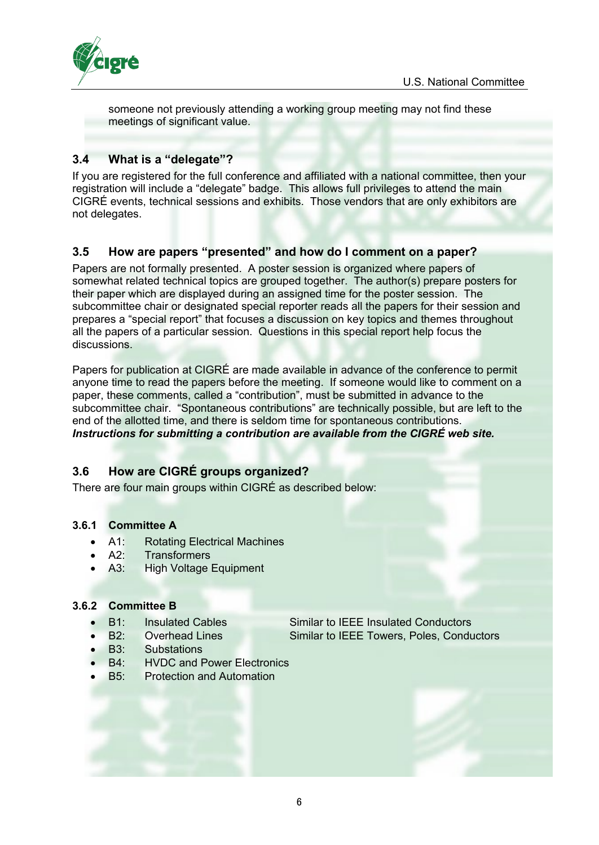

someone not previously attending a working group meeting may not find these meetings of significant value.

## <span id="page-5-0"></span>**3.4 What is a "delegate"?**

If you are registered for the full conference and affiliated with a national committee, then your registration will include a "delegate" badge. This allows full privileges to attend the main CIGRÉ events, technical sessions and exhibits. Those vendors that are only exhibitors are not delegates.

### <span id="page-5-1"></span>**3.5 How are papers "presented" and how do I comment on a paper?**

Papers are not formally presented. A poster session is organized where papers of somewhat related technical topics are grouped together. The author(s) prepare posters for their paper which are displayed during an assigned time for the poster session. The subcommittee chair or designated special reporter reads all the papers for their session and prepares a "special report" that focuses a discussion on key topics and themes throughout all the papers of a particular session. Questions in this special report help focus the discussions.

Papers for publication at CIGRÉ are made available in advance of the conference to permit anyone time to read the papers before the meeting. If someone would like to comment on a paper, these comments, called a "contribution", must be submitted in advance to the subcommittee chair. "Spontaneous contributions" are technically possible, but are left to the end of the allotted time, and there is seldom time for spontaneous contributions. *Instructions for submitting a contribution are available from the CIGRÉ web site.* 

# <span id="page-5-2"></span>**3.6 How are CIGRÉ groups organized?**

There are four main groups within CIGRÉ as described below:

### <span id="page-5-3"></span>**3.6.1 Committee A**

- A1: Rotating Electrical Machines
- A2: Transformers
- A3: High Voltage Equipment

#### <span id="page-5-4"></span>**3.6.2 Committee B**

- -
- B3: Substations
- B4: HVDC and Power Electronics
- **B5:** Protection and Automation

• B1: Insulated Cables Similar to IEEE Insulated Conductors • B2: Overhead Lines Similar to IEEE Towers, Poles, Conductors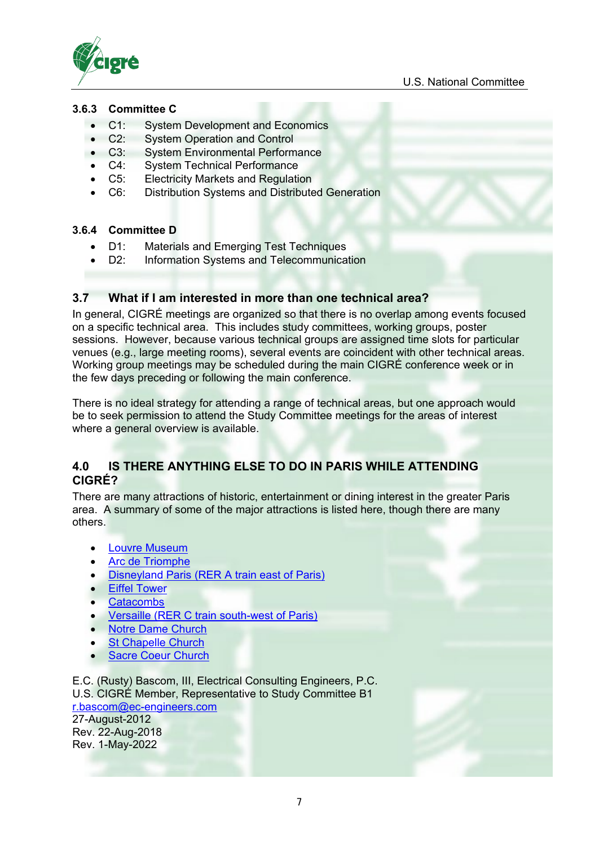

#### <span id="page-6-0"></span>**3.6.3 Committee C**

- C1: System Development and Economics
- C2: System Operation and Control<br>• C3: System Environmental Perform
- **System Environmental Performance**
- C4: System Technical Performance
- C5: Electricity Markets and Regulation
- C6: Distribution Systems and Distributed Generation

#### <span id="page-6-1"></span>**3.6.4 Committee D**

- D1: Materials and Emerging Test Techniques
- D2: Information Systems and Telecommunication

### <span id="page-6-2"></span>**3.7 What if I am interested in more than one technical area?**

In general, CIGRÉ meetings are organized so that there is no overlap among events focused on a specific technical area. This includes study committees, working groups, poster sessions. However, because various technical groups are assigned time slots for particular venues (e.g., large meeting rooms), several events are coincident with other technical areas. Working group meetings may be scheduled during the main CIGRÉ conference week or in the few days preceding or following the main conference.

There is no ideal strategy for attending a range of technical areas, but one approach would be to seek permission to attend the Study Committee meetings for the areas of interest where a general overview is available.

### <span id="page-6-3"></span>**4.0 IS THERE ANYTHING ELSE TO DO IN PARIS WHILE ATTENDING CIGRÉ?**

There are many attractions of historic, entertainment or dining interest in the greater Paris area. A summary of some of the major attractions is listed here, though there are many others.

- [Louvre Museum](https://goo.gl/maps/qzg3fKZEBhG2)
- [Arc de Triomphe](https://goo.gl/maps/Ggzj7EoZKU22)
- [Disneyland Paris \(RER A train east of Paris\)](https://goo.gl/maps/uhUManHVB6v)
- **[Eiffel Tower](https://goo.gl/maps/9XuTaX5sqPT2)**
- **[Catacombs](https://goo.gl/maps/nkWTKQuXspJ2)**
- [Versaille \(RER C train south-west of Paris\)](https://goo.gl/maps/jPdhFmbwkkp)
- [Notre Dame Church](https://goo.gl/maps/1EwuUFAgydm)
- [St Chapelle Church](https://goo.gl/maps/YQNJCKBUgkv)
- **[Sacre Coeur Church](https://goo.gl/maps/VeXSp65fXuM2)**

E.C. (Rusty) Bascom, III, Electrical Consulting Engineers, P.C. U.S. CIGRÉ Member, Representative to Study Committee B1 [r.bascom@ec-engineers.com](mailto:r.bascom@ec-engineers.com)

27-August-2012 Rev. 22-Aug-2018 Rev. 1-May-2022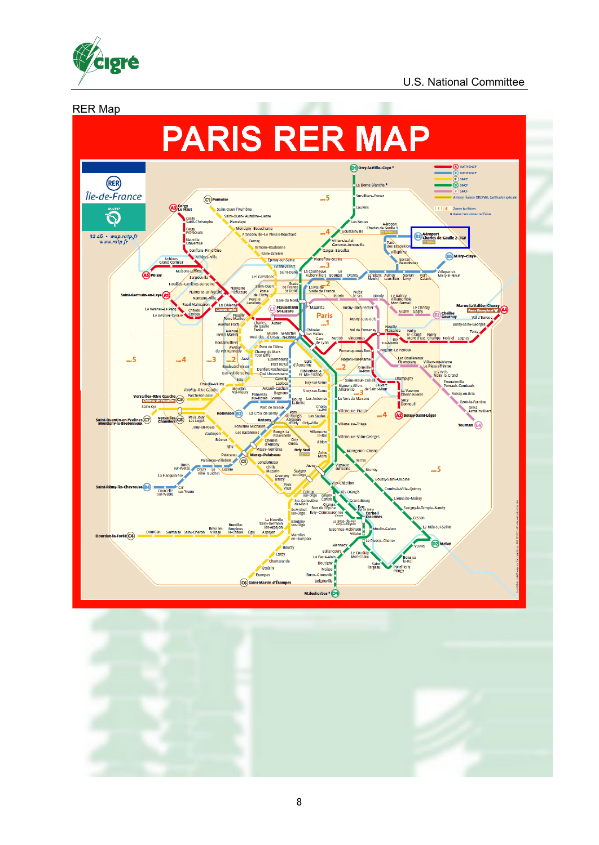

#### U.S. National Committee